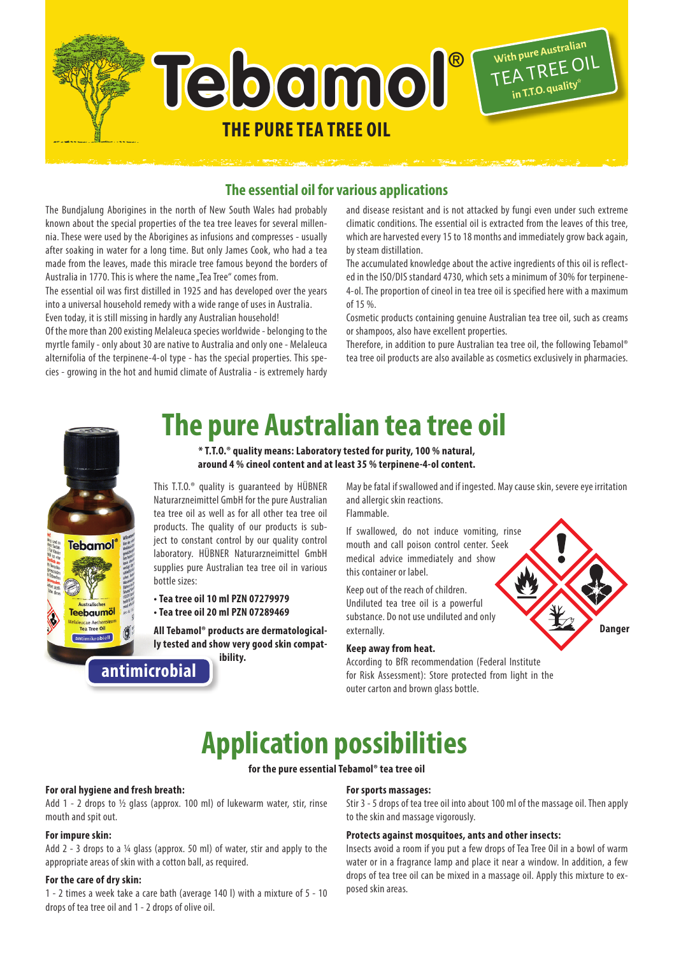

# **The essential oil for various applications**

The Bundjalung Aborigines in the north of New South Wales had probably known about the special properties of the tea tree leaves for several millennia. These were used by the Aborigines as infusions and compresses - usually after soaking in water for a long time. But only James Cook, who had a tea made from the leaves, made this miracle tree famous beyond the borders of Australia in 1770. This is where the name ..Tea Tree" comes from.

The essential oil was first distilled in 1925 and has developed over the years into a universal household remedy with a wide range of uses in Australia. Even today, it is still missing in hardly any Australian household!

Of the more than 200 existing Melaleuca species worldwide - belonging to the myrtle family - only about 30 are native to Australia and only one - Melaleuca alternifolia of the terpinene-4-ol type - has the special properties. This species - growing in the hot and humid climate of Australia - is extremely hardy and disease resistant and is not attacked by fungi even under such extreme climatic conditions. The essential oil is extracted from the leaves of this tree, which are harvested every 15 to 18 months and immediately grow back again, by steam distillation.

The accumulated knowledge about the active ingredients of this oil is reflected in the ISO/DIS standard 4730, which sets a minimum of 30% for terpinene-4-ol. The proportion of cineol in tea tree oil is specified here with a maximum  $of 150%$ 

Cosmetic products containing genuine Australian tea tree oil, such as creams or shampoos, also have excellent properties.

Therefore, in addition to pure Australian tea tree oil, the following Tebamol® tea tree oil products are also available as cosmetics exclusively in pharmacies.



# **The pure Australian tea tree oil**

**\* T.T.O.® quality means: Laboratory tested for purity, 100 % natural, around 4 % cineol content and at least 35 % terpinene-4-ol content.**

This T.T.O.® quality is guaranteed by HÜBNER Naturarzneimittel GmbH for the pure Australian tea tree oil as well as for all other tea tree oil products. The quality of our products is subject to constant control by our quality control laboratory. HÜBNER Naturarzneimittel GmbH supplies pure Australian tea tree oil in various bottle sizes:

**• Tea tree oil 10 ml PZN 07279979 • Tea tree oil 20 ml PZN 07289469**

**All Tebamol® products are dermatologically tested and show very good skin compatibility.**

May be fatal if swallowed and if ingested. May cause skin, severe eye irritation and allergic skin reactions.

Flammable.

If swallowed, do not induce vomiting, rinse mouth and call poison control center. Seek medical advice immediately and show this container or label.

Keep out of the reach of children. Undiluted tea tree oil is a powerful substance. Do not use undiluted and only externally.

### **Keep away from heat.**

According to BfR recommendation (Federal Institute for Risk Assessment): Store protected from light in the outer carton and brown glass bottle.



# **Application possibilities**

### **for the pure essential Tebamol® tea tree oil**

### **For oral hygiene and fresh breath:**

Add 1 - 2 drops to  $\frac{1}{2}$  glass (approx. 100 ml) of lukewarm water, stir, rinse mouth and spit out.

### **For impure skin:**

Add 2 - 3 drops to a ¼ glass (approx. 50 ml) of water, stir and apply to the appropriate areas of skin with a cotton ball, as required.

### **For the care of dry skin:**

1 - 2 times a week take a care bath (average 140 l) with a mixture of 5 - 10 drops of tea tree oil and 1 - 2 drops of olive oil.

### **For sports massages:**

Stir 3 - 5 drops of tea tree oil into about 100 ml of the massage oil. Then apply to the skin and massage vigorously.

### **Protects against mosquitoes, ants and other insects:**

Insects avoid a room if you put a few drops of Tea Tree Oil in a bowl of warm water or in a fragrance lamp and place it near a window. In addition, a few drops of tea tree oil can be mixed in a massage oil. Apply this mixture to exposed skin areas.